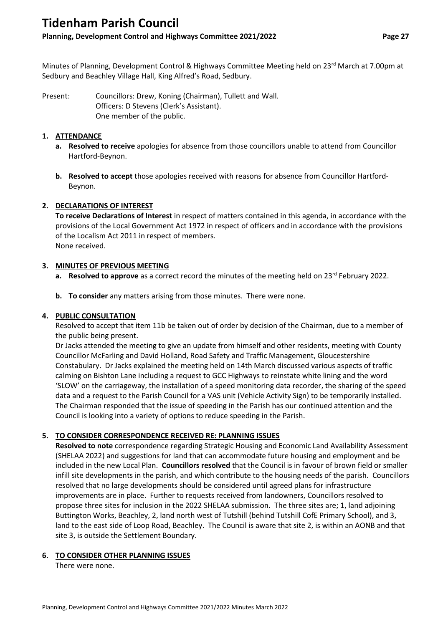# **Tidenham Parish Council**

# **Planning, Development Control and Highways Committee 2021/2022 Page 27**

Minutes of Planning, Development Control & Highways Committee Meeting held on 23<sup>rd</sup> March at 7.00pm at Sedbury and Beachley Village Hall, King Alfred's Road, Sedbury.

Present: Councillors: Drew, Koning (Chairman), Tullett and Wall. Officers: D Stevens (Clerk's Assistant). One member of the public.

#### **1. ATTENDANCE**

- **a. Resolved to receive** apologies for absence from those councillors unable to attend from Councillor Hartford-Beynon.
- **b. Resolved to accept** those apologies received with reasons for absence from Councillor Hartford-Beynon.

# **2. DECLARATIONS OF INTEREST**

**To receive Declarations of Interest** in respect of matters contained in this agenda, in accordance with the provisions of the Local Government Act 1972 in respect of officers and in accordance with the provisions of the Localism Act 2011 in respect of members. None received.

#### **3. MINUTES OF PREVIOUS MEETING**

- a. **Resolved to approve** as a correct record the minutes of the meeting held on 23<sup>rd</sup> February 2022.
- **b. To consider** any matters arising from those minutes. There were none.

### **4. PUBLIC CONSULTATION**

Resolved to accept that item 11b be taken out of order by decision of the Chairman, due to a member of the public being present.

Dr Jacks attended the meeting to give an update from himself and other residents, meeting with County Councillor McFarling and David Holland, Road Safety and Traffic Management, Gloucestershire Constabulary. Dr Jacks explained the meeting held on 14th March discussed various aspects of traffic calming on Bishton Lane including a request to GCC Highways to reinstate white lining and the word 'SLOW' on the carriageway, the installation of a speed monitoring data recorder, the sharing of the speed data and a request to the Parish Council for a VAS unit (Vehicle Activity Sign) to be temporarily installed. The Chairman responded that the issue of speeding in the Parish has our continued attention and the Council is looking into a variety of options to reduce speeding in the Parish.

# **5. TO CONSIDER CORRESPONDENCE RECEIVED RE: PLANNING ISSUES**

**Resolved to note** correspondence regarding Strategic Housing and Economic Land Availability Assessment (SHELAA 2022) and suggestions for land that can accommodate future housing and employment and be included in the new Local Plan. **Councillors resolved** that the Council is in favour of brown field or smaller infill site developments in the parish, and which contribute to the housing needs of the parish. Councillors resolved that no large developments should be considered until agreed plans for infrastructure improvements are in place. Further to requests received from landowners, Councillors resolved to propose three sites for inclusion in the 2022 SHELAA submission. The three sites are; 1, land adjoining Buttington Works, Beachley, 2, land north west of Tutshill (behind Tutshill CofE Primary School), and 3, land to the east side of Loop Road, Beachley. The Council is aware that site 2, is within an AONB and that site 3, is outside the Settlement Boundary.

# **6. TO CONSIDER OTHER PLANNING ISSUES**

There were none.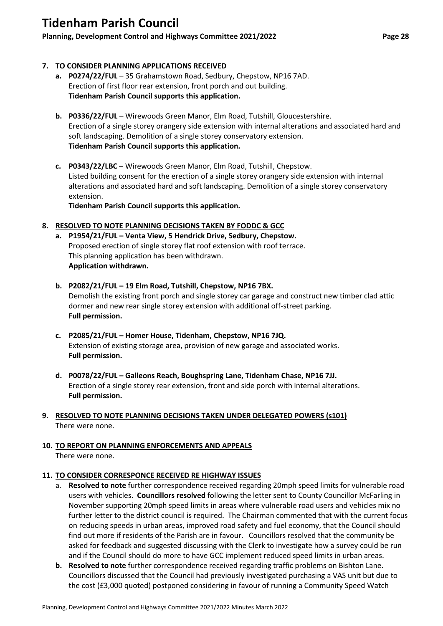# **Tidenham Parish Council**

# **Planning, Development Control and Highways Committee 2021/2022 Page 28**

## **7. TO CONSIDER PLANNING APPLICATIONS RECEIVED**

- **a. P0274/22/FUL**  35 Grahamstown Road, Sedbury, Chepstow, NP16 7AD. Erection of first floor rear extension, front porch and out building. **Tidenham Parish Council supports this application.**
- **b. P0336/22/FUL**  Wirewoods Green Manor, Elm Road, Tutshill, Gloucestershire. Erection of a single storey orangery side extension with internal alterations and associated hard and soft landscaping. Demolition of a single storey conservatory extension. **Tidenham Parish Council supports this application.**
- **c. P0343/22/LBC** Wirewoods Green Manor, Elm Road, Tutshill, Chepstow. Listed building consent for the erection of a single storey orangery side extension with internal alterations and associated hard and soft landscaping. Demolition of a single storey conservatory extension.

**Tidenham Parish Council supports this application.**

#### **8. RESOLVED TO NOTE PLANNING DECISIONS TAKEN BY FODDC & GCC**

- **a. P1954/21/FUL – Venta View, 5 Hendrick Drive, Sedbury, Chepstow.** Proposed erection of single storey flat roof extension with roof terrace. This planning application has been withdrawn. **Application withdrawn.**
- **b. P2082/21/FUL – 19 Elm Road, Tutshill, Chepstow, NP16 7BX.** Demolish the existing front porch and single storey car garage and construct new timber clad attic dormer and new rear single storey extension with additional off-street parking. **Full permission.**
- **c. P2085/21/FUL – Homer House, Tidenham, Chepstow, NP16 7JQ.** Extension of existing storage area, provision of new garage and associated works. **Full permission.**
- **d. P0078/22/FUL – Galleons Reach, Boughspring Lane, Tidenham Chase, NP16 7JJ.** Erection of a single storey rear extension, front and side porch with internal alterations. **Full permission.**

## **9. RESOLVED TO NOTE PLANNING DECISIONS TAKEN UNDER DELEGATED POWERS (s101)** There were none.

**10. TO REPORT ON PLANNING ENFORCEMENTS AND APPEALS** There were none.

#### **11. TO CONSIDER CORRESPONCE RECEIVED RE HIGHWAY ISSUES**

- a. **Resolved to note** further correspondence received regarding 20mph speed limits for vulnerable road users with vehicles. **Councillors resolved** following the letter sent to County Councillor McFarling in November supporting 20mph speed limits in areas where vulnerable road users and vehicles mix no further letter to the district council is required. The Chairman commented that with the current focus on reducing speeds in urban areas, improved road safety and fuel economy, that the Council should find out more if residents of the Parish are in favour. Councillors resolved that the community be asked for feedback and suggested discussing with the Clerk to investigate how a survey could be run and if the Council should do more to have GCC implement reduced speed limits in urban areas.
- **b. Resolved to note** further correspondence received regarding traffic problems on Bishton Lane. Councillors discussed that the Council had previously investigated purchasing a VAS unit but due to the cost (£3,000 quoted) postponed considering in favour of running a Community Speed Watch